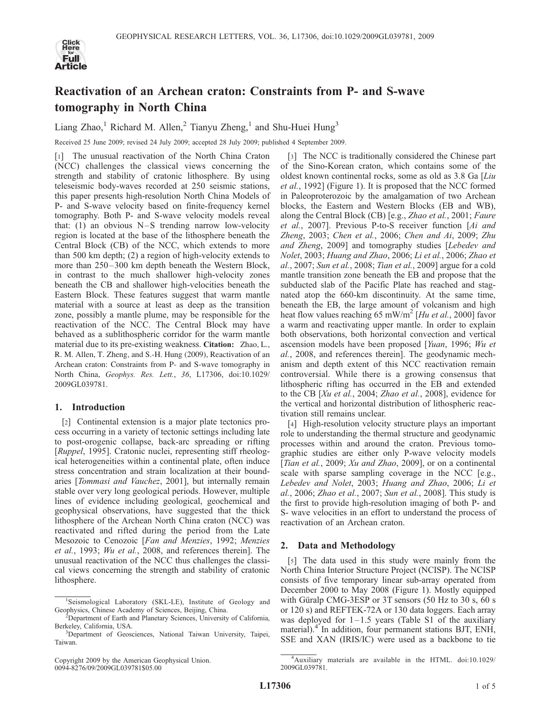

# Reactivation of an Archean craton: Constraints from P- and S-wave tomography in North China

Liang Zhao,<sup>1</sup> Richard M. Allen,<sup>2</sup> Tianyu Zheng,<sup>1</sup> and Shu-Huei Hung<sup>3</sup>

Received 25 June 2009; revised 24 July 2009; accepted 28 July 2009; published 4 September 2009.

[1] The unusual reactivation of the North China Craton (NCC) challenges the classical views concerning the strength and stability of cratonic lithosphere. By using teleseismic body-waves recorded at 250 seismic stations, this paper presents high-resolution North China Models of P- and S-wave velocity based on finite-frequency kernel tomography. Both P- and S-wave velocity models reveal that:  $(1)$  an obvious N-S trending narrow low-velocity region is located at the base of the lithosphere beneath the Central Block (CB) of the NCC, which extends to more than 500 km depth; (2) a region of high-velocity extends to more than  $250-300$  km depth beneath the Western Block, in contrast to the much shallower high-velocity zones beneath the CB and shallower high-velocities beneath the Eastern Block. These features suggest that warm mantle material with a source at least as deep as the transition zone, possibly a mantle plume, may be responsible for the reactivation of the NCC. The Central Block may have behaved as a sublithospheric corridor for the warm mantle material due to its pre-existing weakness. Citation: Zhao, L., R. M. Allen, T. Zheng, and S.-H. Hung (2009), Reactivation of an Archean craton: Constraints from P- and S-wave tomography in North China, Geophys. Res. Lett., 36, L17306, doi:10.1029/ 2009GL039781.

## 1. Introduction

[2] Continental extension is a major plate tectonics process occurring in a variety of tectonic settings including late to post-orogenic collapse, back-arc spreading or rifting [Ruppel, 1995]. Cratonic nuclei, representing stiff rheological heterogeneities within a continental plate, often induce stress concentration and strain localization at their boundaries [Tommasi and Vauchez, 2001], but internally remain stable over very long geological periods. However, multiple lines of evidence including geological, geochemical and geophysical observations, have suggested that the thick lithosphere of the Archean North China craton (NCC) was reactivated and rifted during the period from the Late Mesozoic to Cenozoic [Fan and Menzies, 1992; Menzies et al., 1993; Wu et al., 2008, and references therein]. The unusual reactivation of the NCC thus challenges the classical views concerning the strength and stability of cratonic lithosphere.

[3] The NCC is traditionally considered the Chinese part of the Sino-Korean craton, which contains some of the oldest known continental rocks, some as old as 3.8 Ga [Liu et al., 1992] (Figure 1). It is proposed that the NCC formed in Paleoproterozoic by the amalgamation of two Archean blocks, the Eastern and Western Blocks (EB and WB), along the Central Block (CB) [e.g., Zhao et al., 2001; Faure et al., 2007]. Previous P-to-S receiver function [Ai and Zheng, 2003; Chen et al., 2006; Chen and Ai, 2009; Zhu and Zheng, 2009] and tomography studies [Lebedev and Nolet, 2003; Huang and Zhao, 2006; Li et al., 2006; Zhao et al., 2007; Sun et al., 2008; Tian et al., 2009] argue for a cold mantle transition zone beneath the EB and propose that the subducted slab of the Pacific Plate has reached and stagnated atop the 660-km discontinuity. At the same time, beneath the EB, the large amount of volcanism and high heat flow values reaching 65 mW/m<sup>2</sup> [Hu et al., 2000] favor a warm and reactivating upper mantle. In order to explain both observations, both horizontal convection and vertical ascension models have been proposed [Yuan, 1996; Wu et al., 2008, and references therein]. The geodynamic mechanism and depth extent of this NCC reactivation remain controversial. While there is a growing consensus that lithospheric rifting has occurred in the EB and extended to the CB [Xu et al., 2004; Zhao et al., 2008], evidence for the vertical and horizontal distribution of lithospheric reactivation still remains unclear.

[4] High-resolution velocity structure plays an important role to understanding the thermal structure and geodynamic processes within and around the craton. Previous tomographic studies are either only P-wave velocity models [Tian et al., 2009;  $Xu$  and Zhao, 2009], or on a continental scale with sparse sampling coverage in the NCC [e.g., Lebedev and Nolet, 2003; Huang and Zhao, 2006; Li et al., 2006; Zhao et al., 2007; Sun et al., 2008]. This study is the first to provide high-resolution imaging of both P- and S- wave velocities in an effort to understand the process of reactivation of an Archean craton.

## 2. Data and Methodology

[5] The data used in this study were mainly from the North China Interior Structure Project (NCISP). The NCISP consists of five temporary linear sub-array operated from December 2000 to May 2008 (Figure 1). Mostly equipped with Güralp CMG-3ESP or 3T sensors  $(50 \text{ Hz to } 30 \text{ s}, 60 \text{ s})$ or 120 s) and REFTEK-72A or 130 data loggers. Each array was deployed for  $1-1.5$  years (Table S1 of the auxiliary material).<sup>4</sup> In addition, four permanent stations BJT, ENH, SSE and XAN (IRIS/IC) were used as a backbone to tie

<sup>&</sup>lt;sup>1</sup>Seismological Laboratory (SKL-LE), Institute of Geology and Geophysics, Chinese Academy of Sciences, Beijing, China. <sup>2</sup>

 $2$ Department of Earth and Planetary Sciences, University of California, Berkeley, California, USA. <sup>3</sup>

<sup>&</sup>lt;sup>3</sup>Department of Geosciences, National Taiwan University, Taipei, Taiwan.

Copyright 2009 by the American Geophysical Union. 0094-8276/09/2009GL039781\$05.00

<sup>4</sup> Auxiliary materials are available in the HTML. doi:10.1029/ 2009GL039781.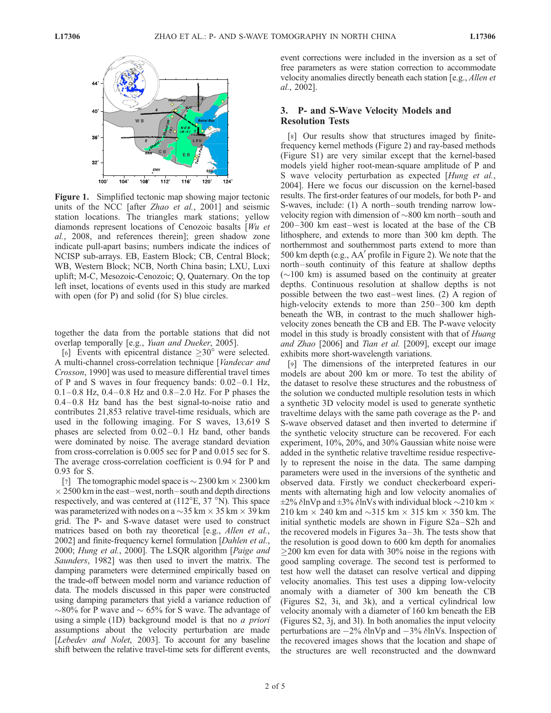

Figure 1. Simplified tectonic map showing major tectonic units of the NCC [after Zhao et al., 2001] and seismic station locations. The triangles mark stations; yellow diamonds represent locations of Cenozoic basalts [Wu et al., 2008, and references therein]; green shadow zone indicate pull-apart basins; numbers indicate the indices of NCISP sub-arrays. EB, Eastern Block; CB, Central Block; WB, Western Block; NCB, North China basin; LXU, Luxi uplift; M-C, Mesozoic-Cenozoic; Q, Quaternary. On the top left inset, locations of events used in this study are marked with open (for P) and solid (for S) blue circles.

together the data from the portable stations that did not overlap temporally [e.g., Yuan and Dueker, 2005].

[6] Events with epicentral distance  $\geq 30^{\circ}$  were selected. A multi-channel cross-correlation technique [*Vandecar and* Crosson, 1990] was used to measure differential travel times of P and S waves in four frequency bands:  $0.02-0.1$  Hz,  $0.1 - 0.8$  Hz,  $0.4 - 0.8$  Hz and  $0.8 - 2.0$  Hz. For P phases the 0.4 – 0.8 Hz band has the best signal-to-noise ratio and contributes 21,853 relative travel-time residuals, which are used in the following imaging. For S waves, 13,619 S phases are selected from  $0.02-0.1$  Hz band, other bands were dominated by noise. The average standard deviation from cross-correlation is 0.005 sec for P and 0.015 sec for S. The average cross-correlation coefficient is 0.94 for P and 0.93 for S.

[7] The tomographic model space is  $\sim$  2300 km  $\times$  2300 km  $\times$  2500 km in the east–west, north–south and depth directions respectively, and was centered at  $(112^{\circ}E, 37 \text{ }^{\circ}N)$ . This space was parameterized with nodes on a  $\sim$ 35 km  $\times$  35 km  $\times$  39 km grid. The P- and S-wave dataset were used to construct matrices based on both ray theoretical [e.g., *Allen et al.*, 2002] and finite-frequency kernel formulation [*Dahlen et al.*, 2000; Hung et al., 2000]. The LSQR algorithm [Paige and Saunders, 1982] was then used to invert the matrix. The damping parameters were determined empirically based on the trade-off between model norm and variance reduction of data. The models discussed in this paper were constructed using damping parameters that yield a variance reduction of  $\sim$ 80% for P wave and  $\sim$  65% for S wave. The advantage of using a simple (1D) background model is that no *a priori* assumptions about the velocity perturbation are made [Lebedev and Nolet, 2003]. To account for any baseline shift between the relative travel-time sets for different events,

event corrections were included in the inversion as a set of free parameters as were station correction to accommodate velocity anomalies directly beneath each station [e.g., Allen et al., 2002].

## 3. P- and S-Wave Velocity Models and Resolution Tests

[8] Our results show that structures imaged by finitefrequency kernel methods (Figure 2) and ray-based methods (Figure S1) are very similar except that the kernel-based models yield higher root-mean-square amplitude of P and S wave velocity perturbation as expected [Hung et al., 2004]. Here we focus our discussion on the kernel-based results. The first-order features of our models, for both P- and S-waves, include: (1) A north–south trending narrow lowvelocity region with dimension of  $\sim 800$  km north–south and 200–300 km east–west is located at the base of the CB lithosphere, and extends to more than 300 km depth. The northernmost and southernmost parts extend to more than 500 km depth (e.g.,  $AA'$  profile in Figure 2). We note that the north–south continuity of this feature at shallow depths  $(\sim]100$  km) is assumed based on the continuity at greater depths. Continuous resolution at shallow depths is not possible between the two east–west lines. (2) A region of high-velocity extends to more than 250–300 km depth beneath the WB, in contrast to the much shallower highvelocity zones beneath the CB and EB. The P-wave velocity model in this study is broadly consistent with that of *Huang* and Zhao [2006] and Tian et al. [2009], except our image exhibits more short-wavelength variations.

[9] The dimensions of the interpreted features in our models are about 200 km or more. To test the ability of the dataset to resolve these structures and the robustness of the solution we conducted multiple resolution tests in which a synthetic 3D velocity model is used to generate synthetic traveltime delays with the same path coverage as the P- and S-wave observed dataset and then inverted to determine if the synthetic velocity structure can be recovered. For each experiment, 10%, 20%, and 30% Gaussian white noise were added in the synthetic relative traveltime residue respectively to represent the noise in the data. The same damping parameters were used in the inversions of the synthetic and observed data. Firstly we conduct checkerboard experiments with alternating high and low velocity anomalies of  $\pm$ 2%  $\delta$ lnVp and  $\pm$ 3%  $\delta$ lnVs with individual block  $\sim$ 210 km  $\times$ 210 km  $\times$  240 km and  $\sim$ 315 km  $\times$  315 km  $\times$  350 km. The initial synthetic models are shown in Figure S2a–S2h and the recovered models in Figures 3a – 3h. The tests show that the resolution is good down to 600 km depth for anomalies  $\geq$ 200 km even for data with 30% noise in the regions with good sampling coverage. The second test is performed to test how well the dataset can resolve vertical and dipping velocity anomalies. This test uses a dipping low-velocity anomaly with a diameter of 300 km beneath the CB (Figures S2, 3i, and 3k), and a vertical cylindrical low velocity anomaly with a diameter of 160 km beneath the EB (Figures S2, 3j, and 3l). In both anomalies the input velocity perturbations are  $-2\%$   $\delta$ lnVp and  $-3\%$   $\delta$ lnVs. Inspection of the recovered images shows that the location and shape of the structures are well reconstructed and the downward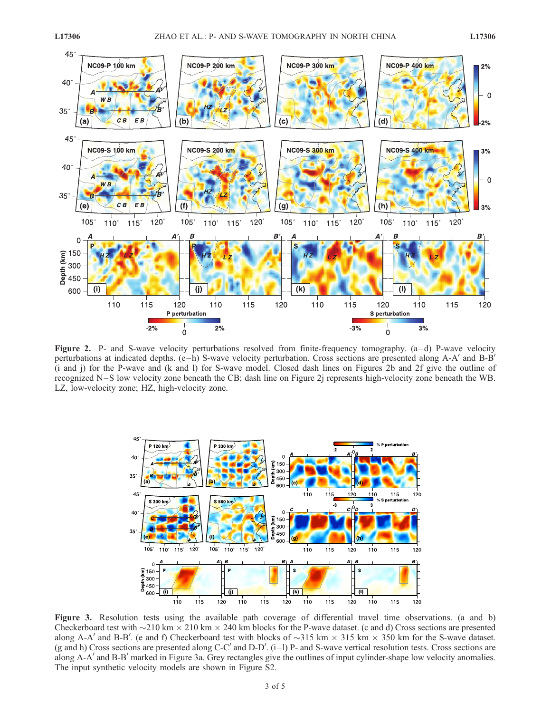

Figure 2. P- and S-wave velocity perturbations resolved from finite-frequency tomography. (a-d) P-wave velocity perturbations at indicated depths.  $(e-h)$  S-wave velocity perturbation. Cross sections are presented along A-A' and B-B' (i and j) for the P-wave and (k and l) for S-wave model. Closed dash lines on Figures 2b and 2f give the outline of recognized N–S low velocity zone beneath the CB; dash line on Figure 2j represents high-velocity zone beneath the WB. LZ, low-velocity zone; HZ, high-velocity zone.



Figure 3. Resolution tests using the available path coverage of differential travel time observations. (a and b) Checkerboard test with  $\sim$ 210 km  $\times$  210 km  $\times$  240 km blocks for the P-wave dataset. (c and d) Cross sections are presented along A-A' and B-B'. (e and f) Checkerboard test with blocks of  $\sim$ 315 km  $\times$  315 km  $\times$  350 km for the S-wave dataset. (g and h) Cross sections are presented along C-C' and D-D'.  $(i-1)$  P- and S-wave vertical resolution tests. Cross sections are along A-A' and B-B' marked in Figure 3a. Grey rectangles give the outlines of input cylinder-shape low velocity anomalies. The input synthetic velocity models are shown in Figure S2.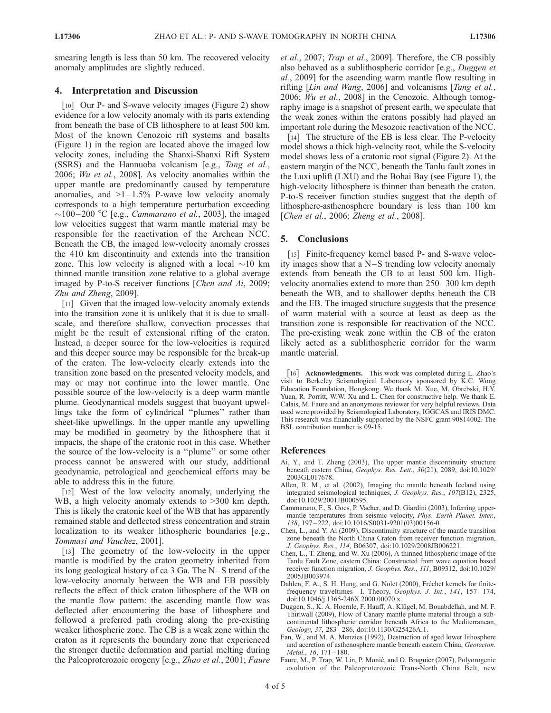smearing length is less than 50 km. The recovered velocity anomaly amplitudes are slightly reduced.

## 4. Interpretation and Discussion

[10] Our P- and S-wave velocity images (Figure 2) show evidence for a low velocity anomaly with its parts extending from beneath the base of CB lithosphere to at least 500 km. Most of the known Cenozoic rift systems and basalts (Figure 1) in the region are located above the imaged low velocity zones, including the Shanxi-Shanxi Rift System (SSRS) and the Hannuoba volcanism [e.g., Tang et al., 2006; Wu et al., 2008]. As velocity anomalies within the upper mantle are predominantly caused by temperature anomalies, and  $>1-1.5\%$  P-wave low velocity anomaly corresponds to a high temperature perturbation exceeding  $\sim$ 100-200 °C [e.g., *Cammarano et al.*, 2003], the imaged low velocities suggest that warm mantle material may be responsible for the reactivation of the Archean NCC. Beneath the CB, the imaged low-velocity anomaly crosses the 410 km discontinuity and extends into the transition zone. This low velocity is aligned with a local  $\sim$ 10 km thinned mantle transition zone relative to a global average imaged by P-to-S receiver functions [Chen and Ai, 2009; Zhu and Zheng, 2009].

[11] Given that the imaged low-velocity anomaly extends into the transition zone it is unlikely that it is due to smallscale, and therefore shallow, convection processes that might be the result of extensional rifting of the craton. Instead, a deeper source for the low-velocities is required and this deeper source may be responsible for the break-up of the craton. The low-velocity clearly extends into the transition zone based on the presented velocity models, and may or may not continue into the lower mantle. One possible source of the low-velocity is a deep warm mantle plume. Geodynamical models suggest that buoyant upwellings take the form of cylindrical ''plumes'' rather than sheet-like upwellings. In the upper mantle any upwelling may be modified in geometry by the lithosphere that it impacts, the shape of the cratonic root in this case. Whether the source of the low-velocity is a ''plume'' or some other process cannot be answered with our study, additional geodynamic, petrological and geochemical efforts may be able to address this in the future.

[12] West of the low velocity anomaly, underlying the WB, a high velocity anomaly extends to  $>300$  km depth. This is likely the cratonic keel of the WB that has apparently remained stable and deflected stress concentration and strain localization to its weaker lithospheric boundaries [e.g., Tommasi and Vauchez, 2001].

[13] The geometry of the low-velocity in the upper mantle is modified by the craton geometry inherited from its long geological history of ca  $3$  Ga. The N $-S$  trend of the low-velocity anomaly between the WB and EB possibly reflects the effect of thick craton lithosphere of the WB on the mantle flow pattern: the ascending mantle flow was deflected after encountering the base of lithosphere and followed a preferred path eroding along the pre-existing weaker lithospheric zone. The CB is a weak zone within the craton as it represents the boundary zone that experienced the stronger ductile deformation and partial melting during the Paleoproterozoic orogeny [e.g., Zhao et al., 2001; Faure et al., 2007; Trap et al., 2009]. Therefore, the CB possibly also behaved as a sublithospheric corridor [e.g., Duggen et al., 2009] for the ascending warm mantle flow resulting in rifting [*Lin and Wang*, 2006] and volcanisms [*Tang et al.*, 2006; Wu et al., 2008] in the Cenozoic. Although tomography image is a snapshot of present earth, we speculate that the weak zones within the cratons possibly had played an important role during the Mesozoic reactivation of the NCC.

[14] The structure of the EB is less clear. The P-velocity model shows a thick high-velocity root, while the S-velocity model shows less of a cratonic root signal (Figure 2). At the eastern margin of the NCC, beneath the Tanlu fault zones in the Luxi uplift (LXU) and the Bohai Bay (see Figure 1), the high-velocity lithosphere is thinner than beneath the craton. P-to-S receiver function studies suggest that the depth of lithosphere-asthenosphere boundary is less than 100 km [*Chen et al., 2006; Zheng et al., 2008*].

## 5. Conclusions

[15] Finite-frequency kernel based P- and S-wave velocity images show that a N–S trending low velocity anomaly extends from beneath the CB to at least 500 km. Highvelocity anomalies extend to more than 250– 300 km depth beneath the WB, and to shallower depths beneath the CB and the EB. The imaged structure suggests that the presence of warm material with a source at least as deep as the transition zone is responsible for reactivation of the NCC. The pre-existing weak zone within the CB of the craton likely acted as a sublithospheric corridor for the warm mantle material.

[16] **Acknowledgments.** This work was completed during L. Zhao's visit to Berkeley Seismological Laboratory sponsored by K.C. Wong Education Foundation, Hongkong. We thank M. Xue, M. Obrebski, H.Y. Yuan, R. Porritt, W.W. Xu and L. Chen for constructive help. We thank E. Calais, M. Faure and an anonymous reviewer for very helpful reviews. Data used were provided by Seismological Laboratory, IGGCAS and IRIS DMC. This research was financially supported by the NSFC grant 90814002. The BSL contribution number is 09-15.

## References

- Ai, Y., and T. Zheng (2003), The upper mantle discontinuity structure beneath eastern China, Geophys. Res. Lett., 30(21), 2089, doi:10.1029/ 2003GL017678.
- Allen, R. M., et al. (2002), Imaging the mantle beneath Iceland using integrated seismological techniques, J. Geophys. Res., 107(B12), 2325, doi:10.1029/2001JB000595.
- Cammarano, F., S. Goes, P. Vacher, and D. Giardini (2003), Inferring uppermantle temperatures from seismic velocity, Phys. Earth Planet. Inter., 138, 197 – 222, doi:10.1016/S0031-9201(03)00156-0.
- Chen, L., and Y. Ai (2009), Discontinuity structure of the mantle transition zone beneath the North China Craton from receiver function migration, J. Geophys. Res., 114, B06307, doi:10.1029/2008JB006221.
- Chen, L., T. Zheng, and W. Xu (2006), A thinned lithospheric image of the Tanlu Fault Zone, eastern China: Constructed from wave equation based receiver function migration, J. Geophys. Res., 111, B09312, doi:10.1029/ 2005JB003974.
- Dahlen, F. A., S. H. Hung, and G. Nolet (2000), Fréchet kernels for finitefrequency traveltimes—I. Theory, Geophys. J. Int., 141, 157-174, doi:10.1046/j.1365-246X.2000.00070.x.
- Duggen, S., K. A. Hoernle, F. Hauff, A. Klügel, M. Bouabdellah, and M. F. Thirlwall (2009), Flow of Canary mantle plume material through a subcontinental lithospheric corridor beneath Africa to the Mediterranean, Geology, 37, 283 – 286, doi:10.1130/G25426A.1.
- Fan, W., and M. A. Menzies (1992), Destruction of aged lower lithosphere and accretion of asthenosphere mantle beneath eastern China, Geotecton. Metal., 16, 171-180.
- Faure, M., P. Trap, W. Lin, P. Monié, and O. Bruguier (2007), Polyorogenic evolution of the Paleoproterozoic Trans-North China Belt, new